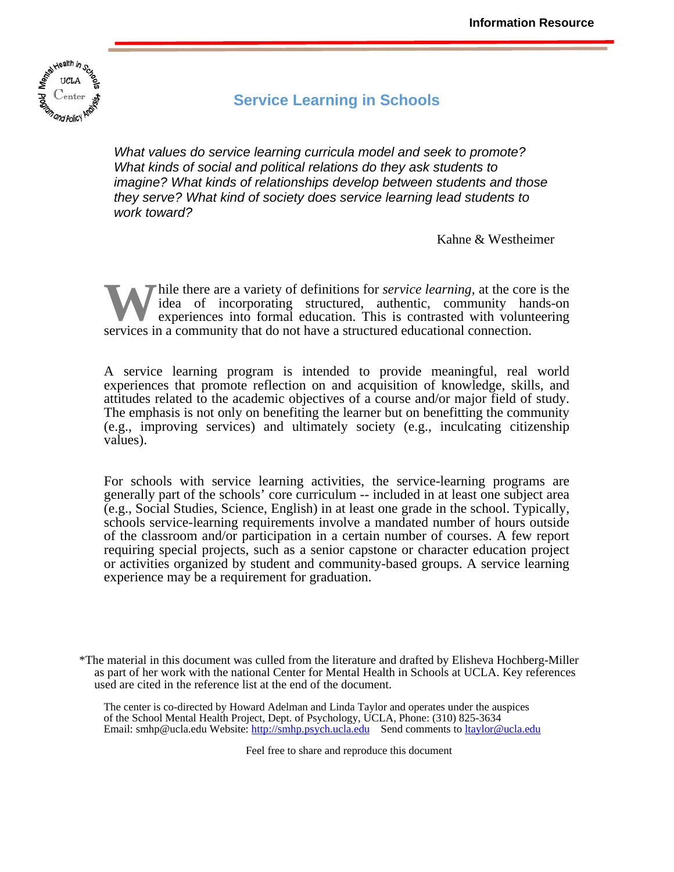

# **Service Learning in Schools**

*What values do service learning curricula model and seek to promote? What kinds of social and political relations do they ask students to imagine? What kinds of relationships develop between students and those they serve? What kind of society does service learning lead students to work toward?* 

Kahne & Westheimer

hile there are a variety of definitions for *service learning,* at the core is the idea of incorporating structured, authentic, community hands-on experiences into formal education. This is contrasted with volunteering W hile there are a variety of definitions for *service learning*, at the core idea of incorporating structured, authentic, community har experiences into formal education. This is contrasted with volunt services in a commu

A service learning program is intended to provide meaningful, real world experiences that promote reflection on and acquisition of knowledge, skills, and attitudes related to the academic objectives of a course and/or major field of study. The emphasis is not only on benefiting the learner but on benefitting the community (e.g., improving services) and ultimately society (e.g., inculcating citizenship values).

For schools with service learning activities, the service-learning programs are generally part of the schools' core curriculum -- included in at least one subject area (e.g., Social Studies, Science, English) in at least one grade in the school. Typically, schools service-learning requirements involve a mandated number of hours outside of the classroom and/or participation in a certain number of courses. A few report requiring special projects, such as a senior capstone or character education project or activities organized by student and community-based groups. A service learning experience may be a requirement for graduation.

\*The material in this document was culled from the literature and drafted by Elisheva Hochberg-Miller as part of her work with the national Center for Mental Health in Schools at UCLA. Key references used are cited in the reference list at the end of the document.

The center is co-directed by Howard Adelman and Linda Taylor and operates under the auspices of the School Mental Health Project, Dept. of Psychology, UCLA, Phone: (310) 825-3634 Email: [smhp@ucla.edu W](mailto:smhp@ucla.edu)ebsite:<http://smhp.psych.ucla.edu>Send comments to [ltaylor@ucla.edu](mailto:ltaylor@ucla.edu) 

Feel free to share and reproduce this document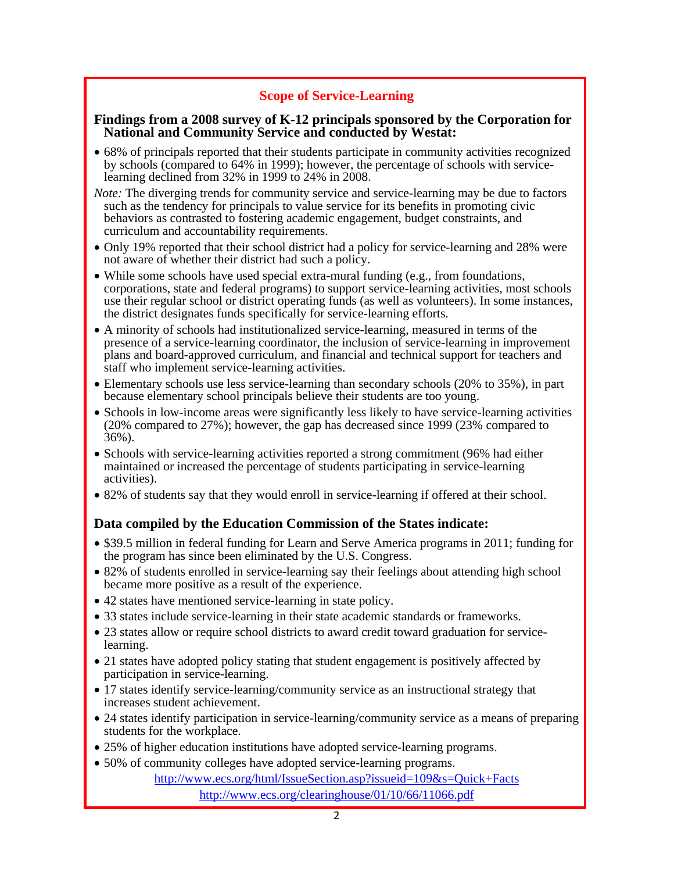# **Scope of Service-Learning**

# **Findings from a 2008 survey of K-12 principals sponsored by the Corporation for National and Community Service and conducted by Westat:**

- 68% of principals reported that their students participate in community activities recognized by schools (compared to 64% in 1999); however, the percentage of schools with servicelearning declined from 32% in 1999 to 24% in 2008.
- *Note:* The diverging trends for community service and service-learning may be due to factors such as the tendency for principals to value service for its benefits in promoting civic behaviors as contrasted to fostering academic engagement, budget constraints, and curriculum and accountability requirements.
- Only 19% reported that their school district had a policy for service-learning and 28% were not aware of whether their district had such a policy.
- While some schools have used special extra-mural funding (e.g., from foundations, corporations, state and federal programs) to support service-learning activities, most schools use their regular school or district operating funds (as well as volunteers). In some instances, the district designates funds specifically for service-learning efforts.
- A minority of schools had institutionalized service-learning, measured in terms of the presence of a service-learning coordinator, the inclusion of service-learning in improvement plans and board-approved curriculum, and financial and technical support for teachers and staff who implement service-learning activities.
- Elementary schools use less service-learning than secondary schools (20% to 35%), in part because elementary school principals believe their students are too young.
- Schools in low-income areas were significantly less likely to have service-learning activities (20% compared to 27%); however, the gap has decreased since 1999 (23% compared to 36%).
- Schools with service-learning activities reported a strong commitment (96% had either maintained or increased the percentage of students participating in service-learning activities).
- 82% of students say that they would enroll in service-learning if offered at their school.

# **Data compiled by the Education Commission of the States indicate:**

- \$39.5 million in federal funding for Learn and Serve America programs in 2011; funding for the program has since been eliminated by the U.S. Congress.
- 82% of students enrolled in service-learning say their feelings about attending high school became more positive as a result of the experience.
- 42 states have mentioned service-learning in state policy.
- 33 states include service-learning in their state academic standards or frameworks.
- 23 states allow or require school districts to award credit toward graduation for servicelearning.
- 21 states have adopted policy stating that student engagement is positively affected by participation in service-learning.
- 17 states identify service-learning/community service as an instructional strategy that increases student achievement.
- 24 states identify participation in service-learning/community service as a means of preparing students for the workplace.
- 25% of higher education institutions have adopted service-learning programs.
- 50% of community colleges have adopted service-learning programs.

<http://www.ecs.org/html/IssueSection.asp?issueid=109&s=Quick+Facts> <http://www.ecs.org/clearinghouse/01/10/66/11066.pdf>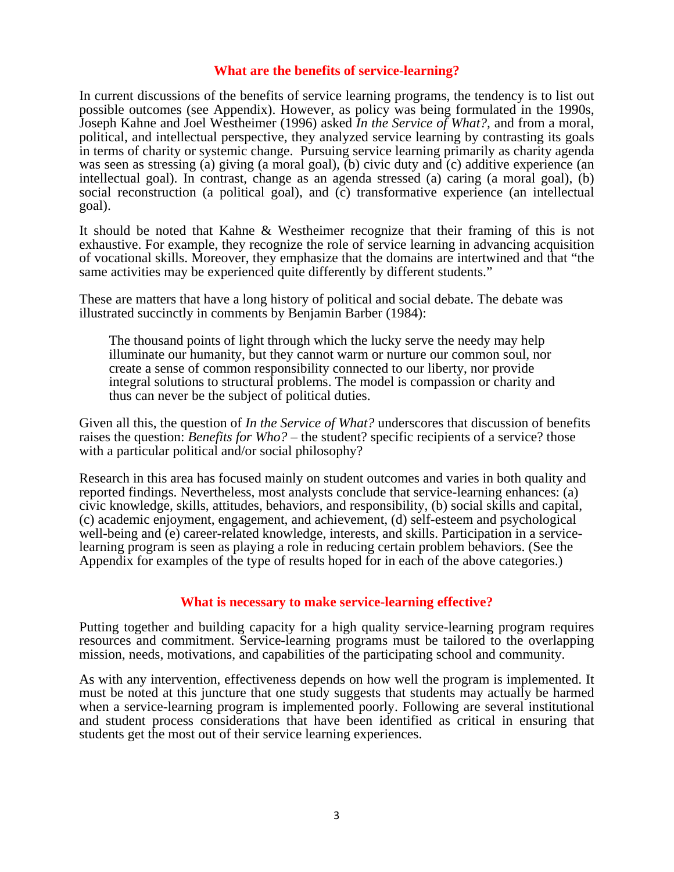### **What are the benefits of service-learning?**

In current discussions of the benefits of service learning programs, the tendency is to list out possible outcomes (see Appendix). However, as policy was being formulated in the 1990s, Joseph Kahne and Joel Westheimer (1996) asked *In the Service of What?,* and from a moral, political, and intellectual perspective, they analyzed service learning by contrasting its goals in terms of charity or systemic change. Pursuing service learning primarily as charity agenda was seen as stressing (a) giving (a moral goal), (b) civic duty and (c) additive experience (an intellectual goal). In contrast, change as an agenda stressed (a) caring (a moral goal), (b) social reconstruction (a political goal), and (c) transformative experience (an intellectual goal).

It should be noted that Kahne & Westheimer recognize that their framing of this is not exhaustive. For example, they recognize the role of service learning in advancing acquisition of vocational skills. Moreover, they emphasize that the domains are intertwined and that "the same activities may be experienced quite differently by different students."

These are matters that have a long history of political and social debate. The debate was illustrated succinctly in comments by Benjamin Barber (1984):

The thousand points of light through which the lucky serve the needy may help illuminate our humanity, but they cannot warm or nurture our common soul, nor create a sense of common responsibility connected to our liberty, nor provide integral solutions to structural problems. The model is compassion or charity and thus can never be the subject of political duties.

Given all this, the question of *In the Service of What?* underscores that discussion of benefits raises the question: *Benefits for Who?* – the student? specific recipients of a service? those with a particular political and/or social philosophy?

Research in this area has focused mainly on student outcomes and varies in both quality and reported findings. Nevertheless, most analysts conclude that service-learning enhances: (a) civic knowledge, skills, attitudes, behaviors, and responsibility, (b) social skills and capital, (c) academic enjoyment, engagement, and achievement, (d) self-esteem and psychological well-being and (e) career-related knowledge, interests, and skills. Participation in a servicelearning program is seen as playing a role in reducing certain problem behaviors. (See the Appendix for examples of the type of results hoped for in each of the above categories.)

# **What is necessary to make service-learning effective?**

Putting together and building capacity for a high quality service-learning program requires resources and commitment. Service-learning programs must be tailored to the overlapping mission, needs, motivations, and capabilities of the participating school and community.

As with any intervention, effectiveness depends on how well the program is implemented. It must be noted at this juncture that one study suggests that students may actually be harmed when a service-learning program is implemented poorly. Following are several institutional and student process considerations that have been identified as critical in ensuring that students get the most out of their service learning experiences.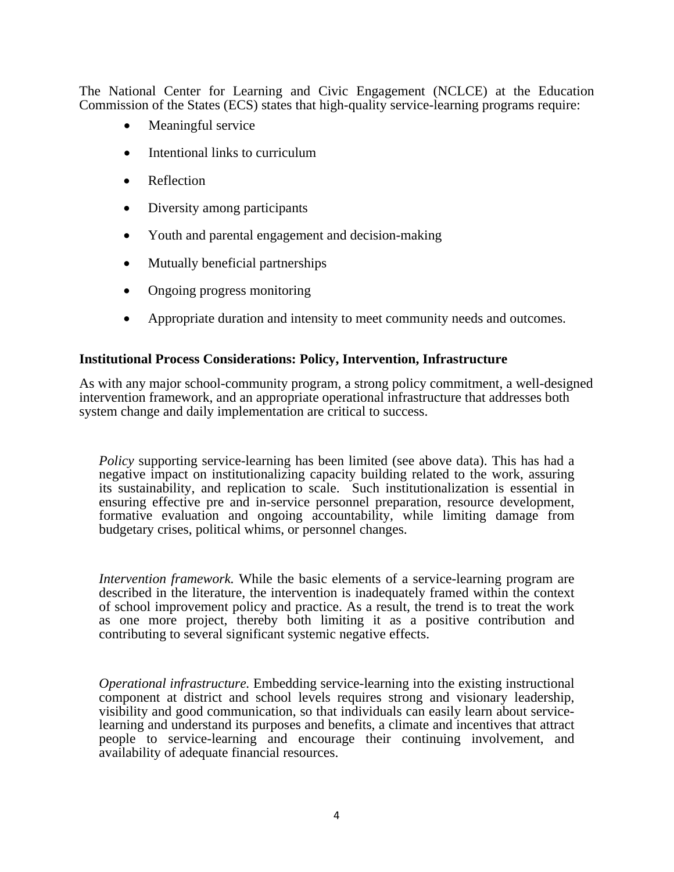The National Center for Learning and Civic Engagement (NCLCE) at the Education Commission of the States (ECS) states that high-quality service-learning programs require:

- Meaningful service
- Intentional links to curriculum
- Reflection
- Diversity among participants
- Youth and parental engagement and decision-making
- Mutually beneficial partnerships
- Ongoing progress monitoring
- Appropriate duration and intensity to meet community needs and outcomes.

#### **Institutional Process Considerations: Policy, Intervention, Infrastructure**

As with any major school-community program, a strong policy commitment, a well-designed intervention framework, and an appropriate operational infrastructure that addresses both system change and daily implementation are critical to success.

*Policy* supporting service-learning has been limited (see above data). This has had a negative impact on institutionalizing capacity building related to the work, assuring its sustainability, and replication to scale. Such institutionalization is essential in ensuring effective pre and in-service personnel preparation, resource development, formative evaluation and ongoing accountability, while limiting damage from budgetary crises, political whims, or personnel changes.

*Intervention framework.* While the basic elements of a service-learning program are described in the literature, the intervention is inadequately framed within the context of school improvement policy and practice. As a result, the trend is to treat the work as one more project, thereby both limiting it as a positive contribution and contributing to several significant systemic negative effects.

*Operational infrastructure.* Embedding service-learning into the existing instructional component at district and school levels requires strong and visionary leadership, visibility and good communication, so that individuals can easily learn about servicelearning and understand its purposes and benefits, a climate and incentives that attract people to service-learning and encourage their continuing involvement, and availability of adequate financial resources.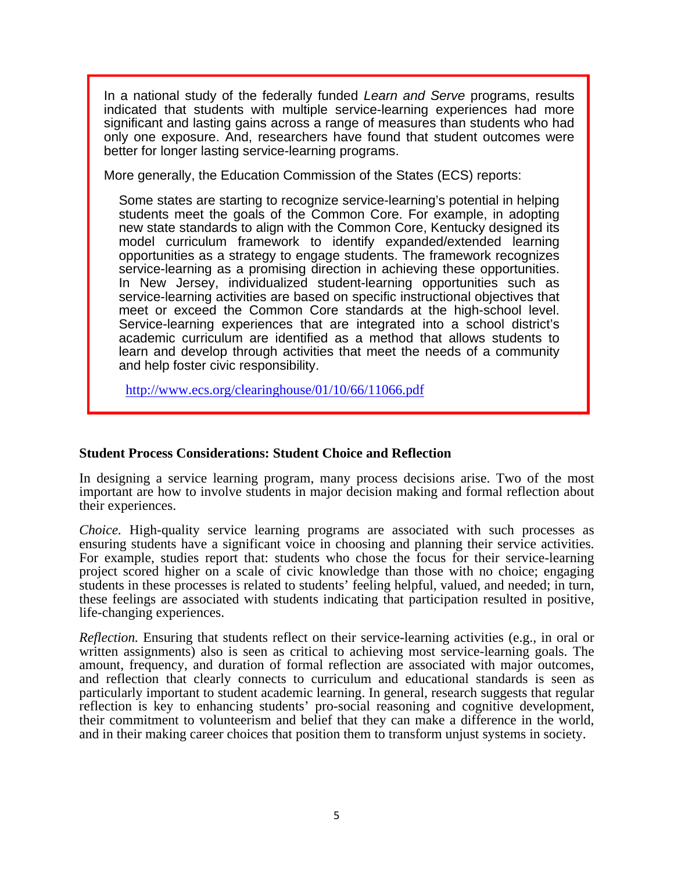In a national study of the federally funded *Learn and Serve* programs, results indicated that students with multiple service-learning experiences had more significant and lasting gains across a range of measures than students who had only one exposure. And, researchers have found that student outcomes were better for longer lasting service-learning programs.

More generally, the Education Commission of the States (ECS) reports:

Some states are starting to recognize service-learning's potential in helping students meet the goals of the Common Core. For example, in adopting new state standards to align with the Common Core, Kentucky designed its model curriculum framework to identify expanded/extended learning opportunities as a strategy to engage students. The framework recognizes service-learning as a promising direction in achieving these opportunities. In New Jersey, individualized student-learning opportunities such as service-learning activities are based on specific instructional objectives that meet or exceed the Common Core standards at the high-school level. Service-learning experiences that are integrated into a school district's academic curriculum are identified as a method that allows students to learn and develop through activities that meet the needs of a community and help foster civic responsibility.

<http://www.ecs.org/clearinghouse/01/10/66/11066.pdf>

# **Student Process Considerations: Student Choice and Reflection**

In designing a service learning program, many process decisions arise. Two of the most important are how to involve students in major decision making and formal reflection about their experiences.

*Choice.* High-quality service learning programs are associated with such processes as ensuring students have a significant voice in choosing and planning their service activities. For example, studies report that: students who chose the focus for their service-learning project scored higher on a scale of civic knowledge than those with no choice; engaging students in these processes is related to students' feeling helpful, valued, and needed; in turn, these feelings are associated with students indicating that participation resulted in positive, life-changing experiences.

*Reflection.* Ensuring that students reflect on their service-learning activities (e.g., in oral or written assignments) also is seen as critical to achieving most service-learning goals. The amount, frequency, and duration of formal reflection are associated with major outcomes, and reflection that clearly connects to curriculum and educational standards is seen as particularly important to student academic learning. In general, research suggests that regular reflection is key to enhancing students' pro-social reasoning and cognitive development, their commitment to volunteerism and belief that they can make a difference in the world, and in their making career choices that position them to transform unjust systems in society.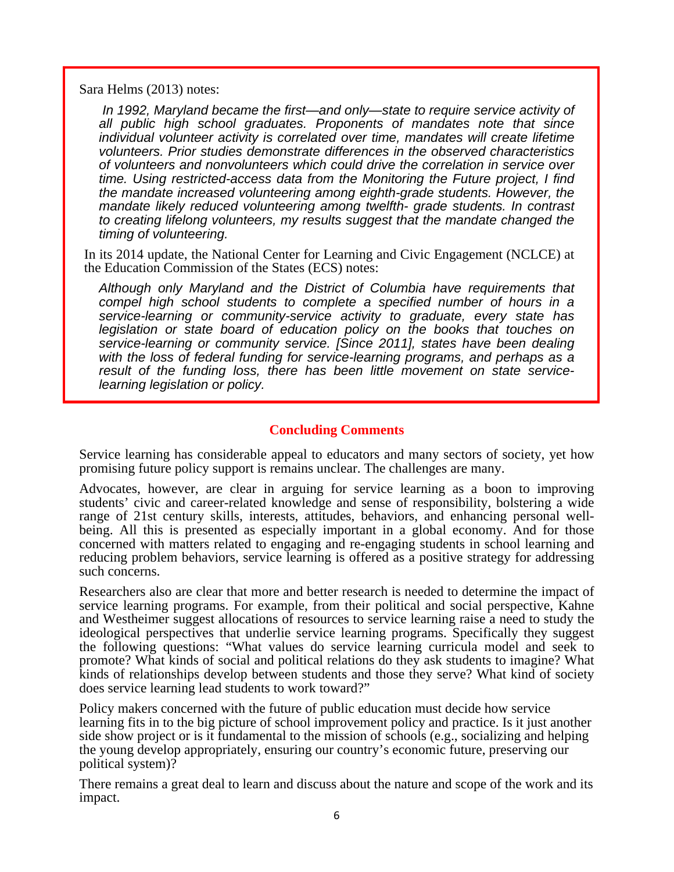Sara Helms (2013) notes:

j

*In 1992, Maryland became the first—and only—state to require service activity of all public high school graduates. Proponents of mandates note that since individual volunteer activity is correlated over time, mandates will create lifetime volunteers. Prior studies demonstrate differences in the observed characteristics of volunteers and nonvolunteers which could drive the correlation in service over time. Using restricted-access data from the Monitoring the Future project, I find the mandate increased volunteering among eighth-grade students. However, the mandate likely reduced volunteering among twelfth- grade students. In contrast to creating lifelong volunteers, my results suggest that the mandate changed the timing of volunteering.* 

In its 2014 update, the National Center for Learning and Civic Engagement (NCLCE) at the Education Commission of the States (ECS) notes:

*Although only Maryland and the District of Columbia have requirements that compel high school students to complete a specified number of hours in a service-learning or community-service activity to graduate, every state has legislation or state board of education policy on the books that touches on service-learning or community service. [Since 2011], states have been dealing with the loss of federal funding for service-learning programs, and perhaps as a result of the funding loss, there has been little movement on state servicelearning legislation or policy.* 

# **Concluding Comments**

Service learning has considerable appeal to educators and many sectors of society, yet how promising future policy support is remains unclear. The challenges are many.

Advocates, however, are clear in arguing for service learning as a boon to improving students' civic and career-related knowledge and sense of responsibility, bolstering a wide range of 21st century skills, interests, attitudes, behaviors, and enhancing personal wellbeing. All this is presented as especially important in a global economy. And for those concerned with matters related to engaging and re-engaging students in school learning and reducing problem behaviors, service learning is offered as a positive strategy for addressing such concerns.

Researchers also are clear that more and better research is needed to determine the impact of service learning programs. For example, from their political and social perspective, Kahne and Westheimer suggest allocations of resources to service learning raise a need to study the ideological perspectives that underlie service learning programs. Specifically they suggest the following questions: "What values do service learning curricula model and seek to promote? What kinds of social and political relations do they ask students to imagine? What kinds of relationships develop between students and those they serve? What kind of society does service learning lead students to work toward?"

Policy makers concerned with the future of public education must decide how service learning fits in to the big picture of school improvement policy and practice. Is it just another side show project or is it fundamental to the mission of schools (e.g., socializing and helping the young develop appropriately, ensuring our country's economic future, preserving our political system)?

There remains a great deal to learn and discuss about the nature and scope of the work and its impact.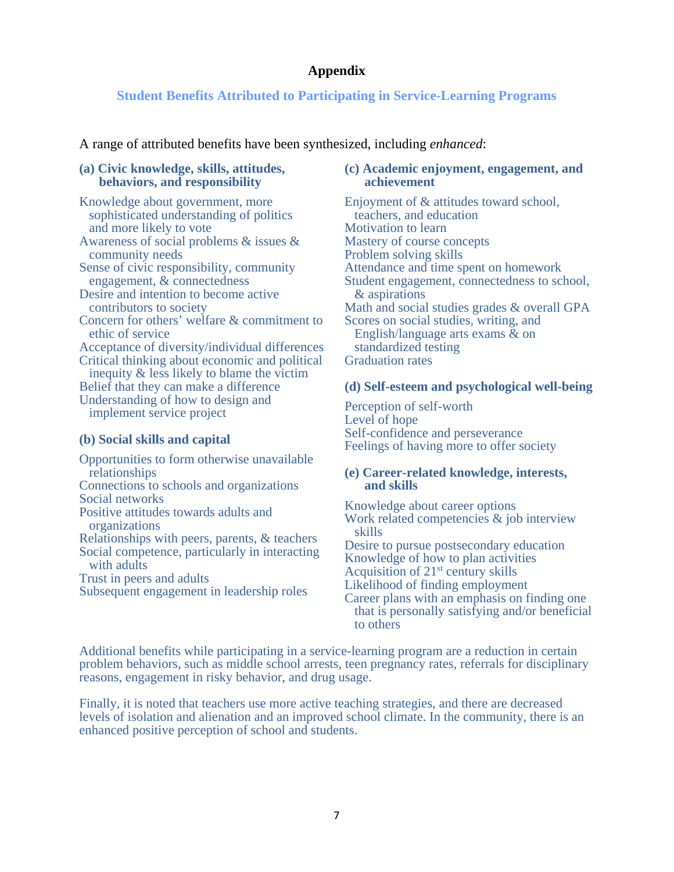# **Appendix**

# **Student Benefits Attributed to Participating in Service-Learning Programs**

A range of attributed benefits have been synthesized, including *enhanced*:

### **(a) Civic knowledge, skills, attitudes, behaviors, and responsibility**

Knowledge about government, more sophisticated understanding of politics and more likely to vote Awareness of social problems & issues & community needs Sense of civic responsibility, community engagement, & connectedness Desire and intention to become active contributors to society Concern for others' welfare & commitment to ethic of service Acceptance of diversity/individual differences Critical thinking about economic and political inequity & less likely to blame the victim Belief that they can make a difference Understanding of how to design and implement service project

# **(b) Social skills and capital**

Opportunities to form otherwise unavailable relationships Connections to schools and organizations Social networks Positive attitudes towards adults and organizations Relationships with peers, parents, & teachers Social competence, particularly in interacting with adults Trust in peers and adults Subsequent engagement in leadership roles

### **(c) Academic enjoyment, engagement, and achievement**

Enjoyment of & attitudes toward school, teachers, and education Motivation to learn Mastery of course concepts Problem solving skills Attendance and time spent on homework Student engagement, connectedness to school, & aspirations Math and social studies grades & overall GPA Scores on social studies, writing, and English/language arts exams & on standardized testing Graduation rates

# **(d) Self-esteem and psychological well-being**

Perception of self-worth Level of hope Self-confidence and perseverance Feelings of having more to offer society

#### **(e) Career-related knowledge, interests, and skills**

Knowledge about career options Work related competencies & job interview skills Desire to pursue postsecondary education

Knowledge of how to plan activities Acquisition of  $21<sup>st</sup>$  century skills Likelihood of finding employment

Career plans with an emphasis on finding one that is personally satisfying and/or beneficial to others

Additional benefits while participating in a service-learning program are a reduction in certain problem behaviors, such as middle school arrests, teen pregnancy rates, referrals for disciplinary reasons, engagement in risky behavior, and drug usage.

Finally, it is noted that teachers use more active teaching strategies, and there are decreased levels of isolation and alienation and an improved school climate. In the community, there is an enhanced positive perception of school and students.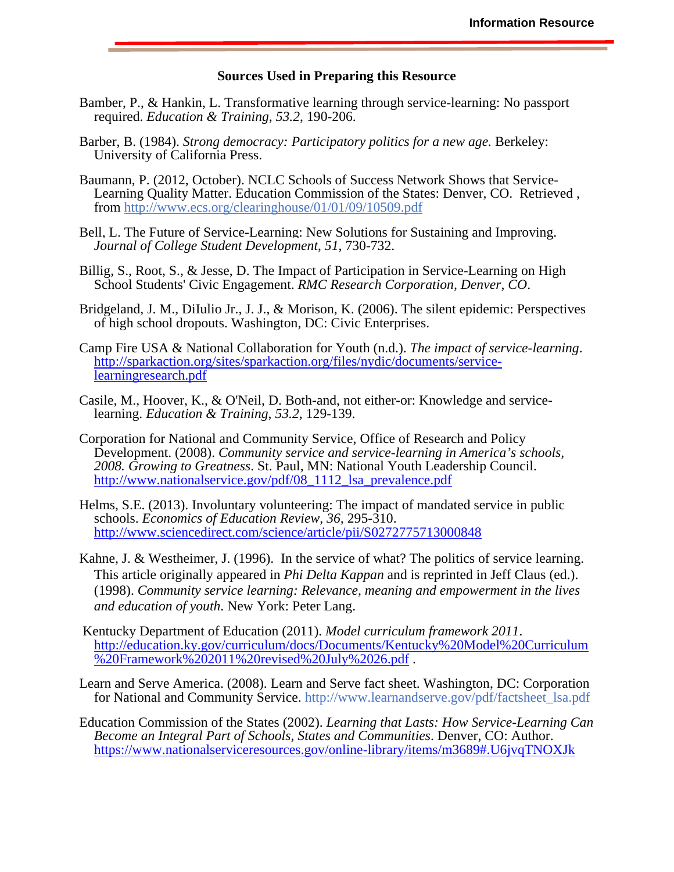#### **Sources Used in Preparing this Resource**

- Bamber, P., & Hankin, L. Transformative learning through service-learning: No passport required. *Education & Training*, *53.2*, 190-206.
- Barber, B. (1984). *Strong democracy: Participatory politics for a new age.* Berkeley: University of California Press.
- Baumann, P. (2012, October). NCLC Schools of Success Network Shows that Service-Learning Quality Matter. Education Commission of the States: Denver, CO. Retrieved , from <http://www.ecs.org/clearinghouse/01/01/09/10509.pdf>
- Bell, L. The Future of Service-Learning: New Solutions for Sustaining and Improving. *Journal of College Student Development*, *51*, 730-732.
- Billig, S., Root, S., & Jesse, D. The Impact of Participation in Service-Learning on High School Students' Civic Engagement. *RMC Research Corporation, Denver, CO*.
- Bridgeland, J. M., DiIulio Jr., J. J., & Morison, K. (2006). The silent epidemic: Perspectives of high school dropouts. Washington, DC: Civic Enterprises.
- Camp Fire USA & National Collaboration for Youth (n.d.). *The impact of service-learning*. [http://sparkaction.org/sites/sparkaction.org/files/nydic/documents/service](http://sparkaction.org/sites/sparkaction.org/files/nydic/documents/service-learningresearch.pdf)learningresearch[.pdf](http://sparkaction.org/sites/sparkaction.org/files/nydic/documents/service-learningresearch.pdf)
- Casile, M., Hoover, K., & O'Neil, D. Both-and, not either-or: Knowledge and servicelearning. *Education & Training*, *53.2*, 129-139.
- Corporation for National and Community Service, Office of Research and Policy Development. (2008). *Community service and service-learning in America's schools, 2008. Growing to Greatness*. St. Paul, MN: National Youth Leadership Council. [http://www.nationalservice.gov/pdf/08\\_1112\\_lsa\\_prevalence.pdf](http://www.nationalservice.gov/pdf/08_1112_lsa_prevalence.pdf)
- Helms, S.E. (2013). Involuntary volunteering: The impact of mandated service in public schools. *Economics of Education Review, 36,* 295-310. <http://www.sciencedirect.com/science/article/pii/S0272775713000848>
- Kahne, J. & Westheimer, J. (1996). In the service of what? The politics of service learning. This article originally appeared in *Phi Delta Kappan* and is reprinted in Jeff Claus (ed.). (1998). *Community service learning: Relevance, meaning and empowerment in the lives and education of youth*. New York: Peter Lang.
- Kentucky Department of Education (2011). *Model curriculum framework 2011*[. http://education.ky.gov/curriculum/docs/Documents/Kentucky%20Model%20Curriculum](http://education.ky.gov/curriculum/docs/Documents/Kentucky%20Model%20Curriculum) %20Framework%202011%20revised%20July%2026.pdf.
- Learn and Serve America. (2008). Learn and Serve fact sheet. Washington, DC: Corporation for National and Community Service. [http://www.learnandserve.gov/pdf/factsheet\\_lsa.pdf](http://www.learnandserve.gov/pdf/factsheet_lsa.pdf)
- Education Commission of the States (2002). *Learning that Lasts: How Service-Learning Can Become an Integral Part of Schools, States and Communities*. Denver, CO: Author. <https://www.nationalserviceresources.gov/online-library/items/m3689#.U6jvqTNOXJk>